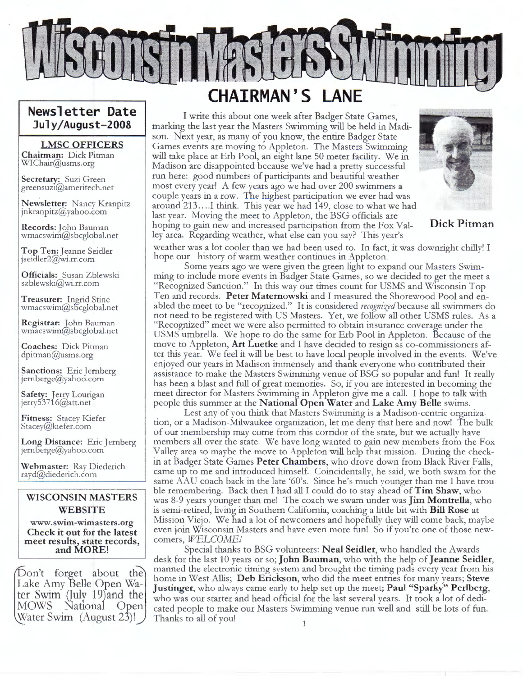

### **Newsletter Date July/August-2008**

#### **LMSC OFFICERS**

**Chairman:** Dick Pitman WI Chair@usms.org

**Secretary:** Suzi Green greensuzi@ameritech.net

**Newsletter:** Nancy Kranpitz jnkranpitz@yahoo.com

**Records:** John Bauman wmacswim@sbcglobal.net

**Top Ten:** Jeanne Seidler jseialer2@wi.rr.com

**Officials:** Susan Zblewski sz blewski@wi.rr.com

**Treasurer:** Ingrid Stine wmacswim@s5cglobal.net

**Registrar:** John Bauman wmacswim@sbcglobal.net

**Coaches:** Dick Pitman dpitman@usms.org

**Sanctions:** Eric Jernberg<br>jernberge@yahoo.com

Safety: Jerry Lourigan<br>jerry53716@att.net

Fitness: Stacey Kiefer Stacey@kiefer.com

**Long Distance:** Eric Jernberg jernberge@yahoo.com

**Webmaster:** Ray Diederich rayd@diederich.com

#### **WISCONSIN MASTERS WEBSITE**

**www.swim-wimasters.org Check it out for the latest meet results, state records, and MORE!** 

Don't forget about the Lake Amy Belle Open Water Swim Quly 19)and the MOWS Nationa1 Open Water Swim (August 23)!

### **CHAIRMAN'S LANE**

I write this about one week after Badger State Games, marking the last year the Masters Swimming will be held in Madison. Next year, as many of you know, the entire Badger State Games events are moving to Appleton. The Masters Swimming will take place at Erb Pool, an eight lane 50 meter facility. We in Madison are disappointed because we've had a pretty successful run here: good numbers of participants and beautiful weather most every year! A few years ago we had over 200 swimmers a couple years in a row. The highest participation we ever had was around 213....I think. This year we had 149, close to what we had last year. Moving the meet to Appleton, the BSG officials are hoping to gain new and increased participation from the Fox Valley area. Regarding weather, what else can you say? This year's



**Dick Pitman** 

weather was a lot cooler than we had been used to. In fact, it was downright chilly! I hope our history of warm weather continues in Appleton.

Some years ago we were given the green light to expand our Masters Swimming to include more events in Badger State Games, so we decided to get the meet a "Recognized Sanction." In this way our times count for USMS and Wisconsin Top Ten and records. **Peter Maternowski** and I measured the Shorewood Pool and enabled the meet to be "recognized." It is considered *recognized* because all swimmers do not need to be registered with US Masters. Yet, we follow all other USMS rules. As a "Recognized" meet we were also permitted to obtain insurance coverage under the USMS umbrella. We hope to do the same for Erb Pool in Appleton. Because of the move to Appleton, **Art Luetke** and I have decided to resign as co-commissioners after this year. We feel it will be best to have local people involved in the events. We've enjoyed our years in Madison immensely and thank everyone who contributed their assistance to make the Masters Swimming venue of BSG so popular and fun! It really has been a blast and full of great memories. So, if you are interested in becoming the meet director for Masters Swimming in Appleton give me a call. I hope to talk with people this summer at the **National Open Water** and **Lake Amy Belle** swims.

Lest any of you think that Masters Swimming is a Madison-centric organization, or a Madison-Milwaukee organization, let me deny that here and now! The bulk of our membership may come from this corridor of the state, but we actually have members all over the state. We have long wanted to gain new members from the Fox Valley area so maybe the move to Appleton will help that mission. During the checkin at Badger State Games **Peter Chambers,** who drove down from Black River Falls, came up to me and introduced himself. Coincidentally, he said, we both swam for the same AAU coach back in the late '60's. Since he's much younger than me I have trouble remembering. Back then I had all I could do to stay ahead of **Tim Shaw,** who was 8-9 years younger than me! The coach we swam under was **Jim Montrella,** who is semi-retired, living in Southern California, coaching a little bit with **Bill Rose** at Mission Viejo. We had a lot of newcomers and hopefully they will come back, maybe even join Wisconsin Masters and have even more fun! So if you're one of those newcomers, *WELCOME!* 

Special thanks to BSG volunteers: **Neal Seidler,** who handled the Awards desk for the last 10 years or so; **John Bauman,** who with the help of **Jeanne Seidler,** manned the electronic timing system and brought the timing pads every year from his home in West Allis; **Deb Erickson,** who did the meet entries for many years; **Steve Justinger,** who always came early to help set up the meet; **Paul "Sparky" Perlberg,**  who was our starter and head official for the last several years. It took a lot of dedicated people to make our Masters Swimming venue run well and still be lots of fun. Thanks to all of you!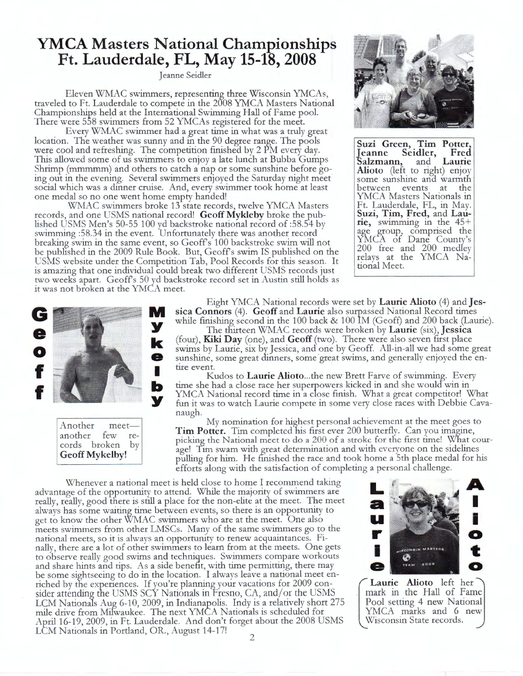### **YMCA Masters National Championships Ft. Lauderdale, FL, May 15-18, 2008**

Jeanne Seidler

Eleven WMAC swimmers, representing three Wisconsin YMCAs, traveled to Ft. Lauderdale to compete in the 2008 YMCA Masters National Championships held at the International Swimming Hall of Fame pool. There were 558 swimmers from 52 YMCAs registered for the meet.

Every WMAC swimmer had a great time in what was a truly great location. The weather was sunny and in the 90 degree range. The pools were cool and refreshing. The competition finished by 2 PM every day. This allowed some of us swimmers to enjoy a late lunch at Bubba Gumps Shrimp (mmmmm) and others to catch a nap or some sunshine before going out in the evening. Several swimmers enjoyed the Saturday night meet social which was a dinner cruise. And, every swimmer took home at least one medal so no one went home empty handed!

WMAC swimmers broke 13 state records, twelve YMCA Masters records, and one USMS national record! Geoff Mykleby broke the published USMS Men's 50-55 100 yd backstroke national record of :58.54 by swimming :58.34 in the event. Unfortunately there was another record breaking swim in the same event, so Geoff s 100 backstroke swim will not be published in the 2009 Rule Book. But, Geoff s swim IS published on the USMS website under the Competition Tab, Pool Records for this season. It is amazing that one individual could break two different USMS records just two weeks apart. Geoffs 50 yd backstroke record set in Austin still holds as it was not broken at the YMCA meet.



**Suzi Green, Tim Potter, Jeanne Seidler, Fred 'Salzmann,** and **Laurie Alioto** (left to right) enjoy some sunshine and warmth between events at the YMCA Masters Nationals in<br>Ft. Lauderdale, FL, in May. Suzi, Tim, Fred, and Lau**rie,** swimming in the 45+ age group., comprised the YMCA of Dane County's 200 free and 200 medley relays at the YMCA National Meet.



Another meetanother few records broken by **Geoff Mykelby!** 

Eight YMCA National records were set by **Laurie Alioto** (4) and **Jessica Connors** (4). **Geoff** and **Laurie** also surpassed National Record times while finishing second in the 100 back & 100 IM (Geoff) and 200 back (Laurie).

The thirteen WMAC records were broken by **Laurie** (six), **Jessica**  (four), **Kiki Day** (one), and **Geoff** (two). There were also seven first place swims by Laurie, six by Jessica, and one by Geoff. All-in-all we had some great sunshine, some great dinners, some great swims, and generally enjoyed the entire event.

Kudos to **Laurie Alioto ... the** new Brett Farve of swimming. Every time she had a close race her superpowers kicked in and she would-win in YMCA National record time in a dose finish. What a great competitor! What fun it was to watch Laurie compete in some very close races with Debbie Cavanaugh.

My nomination for highest personal achievement at the meet goes to **Tim Potter.** Tim completed his first ever 200 butterfly. Can you imagine, picking the National meet to do a 200 of a stroke for the first time! What courage! Tim swam with great determination and with everyone on the sidelines pulling for him. He finished the race and took horne a 5th place medal for his efforts along with the satisfaction of completing a personal challenge.

Whenever a national meet is held close to home I recommend taking advantage of the opportunity to attend. While the majority of swimmers are really, really, good there is still a place for the non-elite at the meet. The meet always has some waiting time between events, so there is an opportunity to get to know the other WMAC swimmers who are at the meet. One also meets swimmers from other LMSCs. Many of the same swimmers go to the national meets, so it is always an opportunity to renew acquaintances. Fi- nally, there are a lot of other swimmers to learn from at the meets. One gets to observe really good swims and techniques. Swimmers compare workouts and share hints and tips. As a side benefit, with time permitting, there may be some sightseeing to do in the location. I always leave a national meet enriched by the experiences. If you're planning your vacations for 2009 consider attending the USMS SCY Nationals in Fresno, CA, and/or the USMS LCM Nationals Aug 6-10, 2009, in Indianapolis. Indy is a relatively short 275 mile drive from Milwaukee. The next YMCA Nationals is scheduled for April 16-19, 2009, in Ft. Lauderdale. And don't forget about the 2008 USMS LCM Nationals in Portland, OR., August 14-17!



Wiscon Laurie Alioto left her nark in the Hall of Fame Pool setting 4 new National YMCA marks and 6 new Wisconsin State records.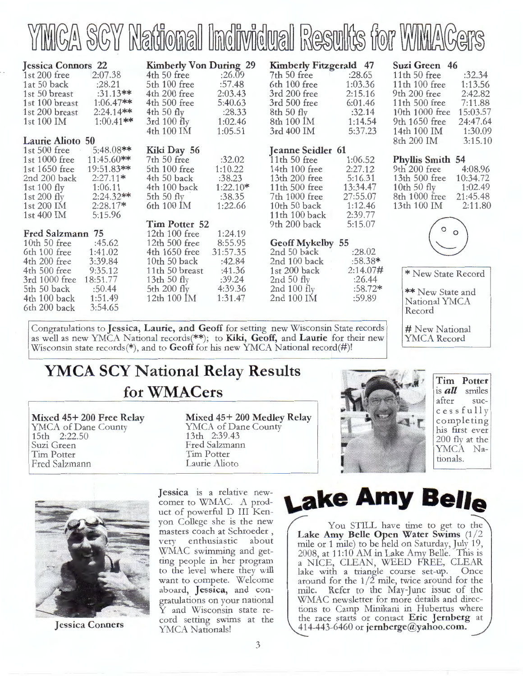

| <b>Jessica Connors 22</b> |              | <b>Kimberly Von During 29</b> |            | Kimberly Fitzgerald 47   |           | Suzi Green 46           |          |
|---------------------------|--------------|-------------------------------|------------|--------------------------|-----------|-------------------------|----------|
| 1st $200$ free            | 2:07.38      | 4th 50 free                   | :26.09     | 7th 50 free              | :28.65    | 11th $50$ free          | :32.34   |
| 1at 50 back               | :28.21       | 5th 100 free                  | :57.48     | 6th 100 free             | 1:03.36   | 11th $100$ free         | 1:13.56  |
| 1st 50 breast             | $:31.13**$   | 4th 200 free                  | 2:03.43    | 3rd 200 free             | 2:15.16   | 9th 200 free            | 2:42.82  |
| 1st 100 breast            | $1:06.47**$  | 4th 500 free                  | 5:40.63    | 3rd 500 free             | 6:01.46   | 11th 500 free           | 7:11.88  |
| 1st 200 breast            | $2:24.14**$  | $4th 50$ fly                  | :28.33     | 8th 50 fly               | :32.14    | 10th 1000 free          | 15:03.57 |
| 1st 100 IM                | $1:00.41**$  | $3rd$ 100 fly                 | 1:02.46    | 8th 100 IM               | 1:14.54   | 9th 1650 free           | 24:47.64 |
|                           |              |                               |            |                          |           |                         |          |
|                           |              | 4th 100 IM                    | 1:05.51    | 3rd 400 IM               | 5:37.23   | 14th 100 IM             | 1:30.09  |
| Laurie Alioto 50          |              |                               |            |                          |           | 8th 200 IM              | 3:15.10  |
| 1st $500$ free            | $5:48.08**$  | Kiki Day 56                   |            | <b>Jeanne Seidler 61</b> |           |                         |          |
| 1st 1000 free             | $11:45.60**$ | 7th 50 free                   | :32.02     | $11th 50$ free           | 1:06.52   | <b>Phyllis Smith 54</b> |          |
| 1st 1650 free             | 19:51.83**   | 5th 100 free                  | 1:10.22    | 14th 100 free            | 2:27.12   | 9th 200 free            | 4:08.96  |
| 2nd 200 back              | $2:27.11*$   | 4th 50 back                   | :38.23     | 13th 200 free            | 5:16.31   | 13th 500 free           | 10:34.72 |
| 1st 100 fly               | 1:06.11      | 4th 100 back                  | $1:22.10*$ | 11th 500 free            | 13:34.47  | 10th 50 $fly$           | 1:02.49  |
| 1st $200$ fly             | $2:24.32**$  | 5th 50 $fly$                  | :38.35     | 7th 1000 free            | 27:55.07  | 8th 1000 free           | 21:45.48 |
| 1st 200 IM                | $2:28.17*$   | 6th 100 IM                    | 1:22.66    | 10th $50$ back           | 1:12.46   | 13th 100 IM             | 2:11.80  |
| 1st $400$ IM              | 5:15.96      |                               |            | 11th $100$ back          | 2:39.77   |                         |          |
|                           |              | Tim Potter 52                 |            | 9th 200 back             | 5:15.07   |                         |          |
| Fred Salzmann 75          |              | 1:24.19<br>12th $100$ free    |            |                          |           | $^{\circ}$              |          |
| 10th 50 free              | :45.62       | 12th $500$ free               | 8:55.95    | Geoff Mykelby 55         |           |                         |          |
| 6th 100 free              | 1:41.02      | 4th 1650 free                 | 31:57.35   | 2nd 50 back              | :28.02    |                         |          |
| 4th 200 free              | 3:39.84      | $10th 50$ back                | :42.84     | 2nd 100 back             | :58.38*   |                         |          |
| 4th 500 free              | 9:35.12      | 11th 50 breast                | :41.36     | 1st 200 back             | 2:14.07#  |                         |          |
| 3rd 1000 free             | 18:51.77     | 13th 50 $fly$                 | :39.24     | 2nd 50 fly               | :26.44    | * New State Record      |          |
| 5th 50 back               | :50.44       | 5th $200$ fly                 | 4:39.36    | 2nd $100$ fly            | $:58.72*$ |                         |          |
| 4th 100 back              | 1:51.49      | $12th 100$ $\text{IM}$        | 1:31.47    | 2nd 100 IM               | :59.89    | ** New State and        |          |
|                           |              |                               |            |                          |           | National YMCA           |          |
| 6th 200 back              | 3:54.65      |                               |            |                          |           | Record                  |          |

Congratulations to **Jessica, Laurie, and Geoff** for setting new Wisconsin State records as well as new YMCA National records(\*\*); to Kiki, Geoff, and Laurie for their new Wisconsin state records(\*), and to Geoff for his new YMCA National record(#)!

### **YMCA SCY National Relay Results forWMACers**

**Mixed 45+ 200 Free Relay**  YMCA of Dane County 15th 2:22.50 Suzi Green Tim Potter Fred Salzmann

**Mixed 45+ 200 Medley Relay**  YMCA of Dane County 13th 2:39.43 Fred Salzmann Tim Potter Laurie Alioto



**Tim Potter**  is **all** smiles after success f u 11 y comp leting his first ever 200 fly at the YMCA Nationals.

# New National YMCA Record



**Jessica Conners** 

**Jessica** is a relative newcomer to WMAC. A product of powerful D III Kenyon College she is the new masters coach at Schroeder , very enthusiastic about WMAC swimming and getting people in her program to the level where they will want to compete. Welcome aboard, **Jessica,** and congratulations on your national Y and Wisconsin state record setting swims at the YMCA Nationals!

# **\..ake Amy Belle**

You STILL have time to get to the Lake Amy Belle Open Water Swims  $(1/2)$ mile or 1 mile) to be held on Saturday, July 19, 2008, at 11:10 AM in Lake Amy Belle. This is a NÍCE, CLEAN, WEED FREE, CLEAR lake with a triangle course set-up. Once around for the  $1/2$  mile, twice around for the mile. Refer to the May-June issue of the WMAC newsletter for more details and directions to Camp Minikani in Hubertus where the race starts or contact **Eric Jernberg** at 414-44 3-6460 or **jernberge@yahoo.com.**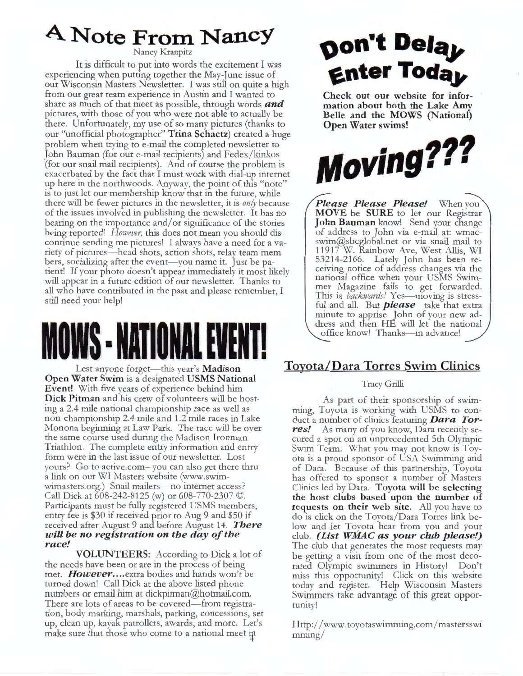## **A. Note From NancY**

Nancy Kranpitz

It is difficult to put into words the excitement I was experiencing when putting together the May-June issue of our Wisconsin Masters Newsletter. I was still on quite a high from our great team experience in Austin and I wanted to share as much of that meet as possible, through words *and*  pictures, with those of you who were not able to actually be there. Unfortunately, my use of so many pictures (thanks to our "unofficial photographer" **Trina Schaetz)** created a huge problem when trying to e-mail the completed newsletter to John Bauman (for our e-mail recipients) and Fedex/kinkos (for our snail mail recipients). And of course the problem is exacerbated by the fact that I must work with dial-up internet up here in the northwoods. Anyway, the point of this "note" is to just let our membership know that in the future, while there will be fewer pictures in the newsletter, it is *only* because of the issues involved in publishing the newsletter. It has no bearing on the importance and/ or significance of the stories being reported! *However*, this does not mean you should discontinue sending me pictures! I always have a need for a variety of pictures—head shots, action shots, relay team members, socializing after the event-you name it. Just be patient! If your photo doesn't appear immediately it most likely will appear in a future edition of our newsletter. Thanks to all who have contributed in the past and please remember, I still need your help!

# **IOWS - NAT**

Lest anyone forget—this year's **Madison Open Water Swim** is a designated **USMS N ational Event!** With five years of experience behind him **Dick Pitman** and his crew of volunteers will be hosting a 2.4 mile national championship race as well as non-championship 2.4 mile and 1.2 mile races in Lake Monona beginning at Law Park. The race will be over the same course used during the Madison Ironman Triathlon. The complete entry information and entry form were in the last issue of our newsletter. Lost yours? Go to active.com- you can also get there thru a link on our WI Masters website (www.swimwimasters.org.) Snail mailers- no internet access? Call Dick at 608-242-8125 (w) or 608-770-2307 ©. Participants must be fully registered USMS members, entry fee is \$30 if received prior to Aug 9 and \$50 if received after August 9 and before August 14. *There w ill be no r egistration on the day of the r ace!* 

**VOLUNTEERS:** According to Dick a lot of the needs have been or are in the process of being met. *However .... extra* bodies and hands won't be turned down! Call Dick at the above listed phone numbers or email him at dickpitman@hotmail.com. There are lots of areas to be covered—from registration, body marking, marshals, parking, concessions, set up, clean up, kayak patrollers, awards, and more. Let's make sure that those who come to a national meet in

# **oon't Dela, Enter Today**

Check out our website for information about both the Lake Amy Belle and the MOWS (National) Open Water swims!



*Please Please Please!* When you **MOVE** be **SURE** to let our Registrar **John Bauman** know! Send your change of address to John via e-mail at: wmacswim@sbcglobal.net or via snail mail to 11917 W. Rainbow Ave, West Allis, WI 53214-2166. Lately John has been receiving notice of address changes via the national office when your USMS Swimmer Magazine fails to get forwarded. This is *backwards!* Yes-moving is stressful and all. But *please* take that extra minute to apprise John of your new address and then HE will let the national office know! Thanks-in advance!

### **Toyota/Dara Torres Swim Clinics**

#### Tracy Grilli

As part of their sponsorship of swimming, Toyota is working with USMS to conduct a number of clinics featuring *Dara Tor***res!** As many of you know, Dara recently secured a spot on an unprecedented 5th Olympic Swim Team. What you may not know is Toyota is a proud sponsor of USA Swimming and of Dara. Because of this partnership, Toyota has offered to sponsor a number of Masters Clinics led by Dara. Toyota will be selecting **the host clubs based upon the number of requests on their web site.** All you have to do is click on the Toyota/Dara Torres link below and let Toyota hear from you and your club. *(List WMAC as your club please!)* The club that generates the most requests may be getting a visit from one of the most decorated Olympic swimmers in History! Don't miss this opportunity! Click on this website today and register. Help Wisconsin Masters Swimmers take advantage of this great opportunity!

Http: //www.toyotaswimming.com/ mastersswi mming/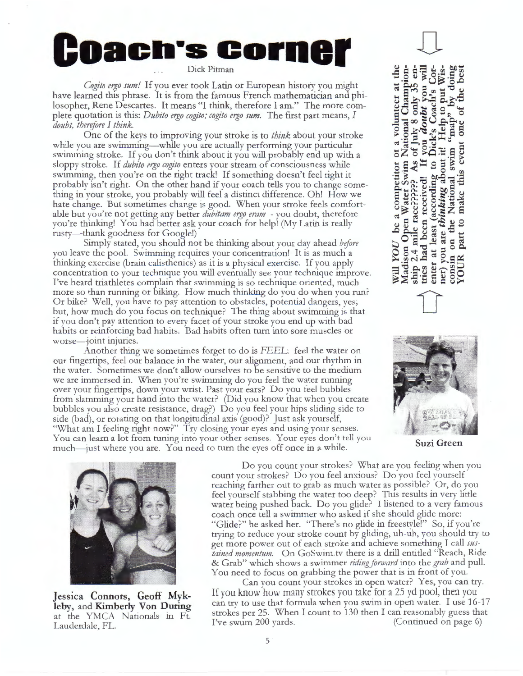# **Oach's Cornel**

*Cogito ergo sum!* If you ever took Latin or European history you might have learned this phrase. It is from the famous French mathematician and philosopher, Rene Descartes. It means "I think, therefore I am." The more complete quotation is this: *Dubito ergo cogito; cogito ergo sum*. The first part means, *I doubt, therefore I think.* 

One of the keys to improving your stroke is to *think* about your stroke while you are swimming—while you are actually performing your particular swimming stroke. If you don't think about it you will probably end up with a sloppy stroke. If *dubito ergo cogito* enters your stream of consciousness while swimming, then you're on the right track! If something doesn't feel right it probably isn't right. On the other hand if your coach tells you to change something in your stroke, you probably will feel a distinct difference. Oh! How we hate change. But sometimes change is good. When your stroke feels comfortable but you're not getting any better *dubitam ergo eram* - you doubt, therefore you're thinking! You had better ask your coach for help! (My Latin is really rusty—thank goodness for Google!)

Simply stated, you should not be thinking about your day ahead *before*  you leave the pool. Swimming requires your concentration! It is as much a thinking exercise (brain calisthenics) as it is a physical exercise. If you apply concentration to your technique you will eventually see your technique improve. I've heard triathletes complain that swimming is so technique oriented, much more so than running or biking. How much thinking do you do when you run? Or bike? Well, you have to pay attention to obstacles, potential dangers, yes; but, how much do you focus on technique? The thing about swimming is that if you don't pay attention to every facet of your stroke you end up with bad habits or reinforcing bad habits. Bad habits often turn into sore muscles or worse-joint injuries.

Another thing we sometimes forget to do is FEEL: feel the water on our fingertips, feel our balance in the water, our alignment, and our rhythm in the water. Sometimes we don't allow ourselves to be sensitive to the medium we are immersed in. When you're swimming do you feel the water running over your fingertips, down your wrist. Past your ears? Do you feel bubbles from slamming your hand into the water? (Did you know that when you create bubbles you also create resistance, drag?) Do you feel your hips sliding side to side (bad), or rotating on that longitudinal axis (good)? Just ask yourself, "What am I feeling right now?" Try closing your eyes and using your senses. You can learn a lot from tuning into your other senses. Your eyes don't tell you much—just where you are. You need to turn the eyes off once in a while.

D a volunteer at the National Champion  $\frac{1}{2}$  only 35  $\infty$ one of July Madison Open Water Swim National Ship 2.4 mile race????? As of Junes had been received! If you enter at least (according to Dick net) you are thinking about it! make this event swim Will YOU be a competitor or National part to consin on the YOUR



**Suzi Green** 



**Jessica Connors, Geoff Mykleby,** and **Kimberly Von During**  at the YMCA Nationals in Ft. Lauderdale, FL.

Do you count your strokes? What are you feeling when you count your strokes? Do you feel anxious? Do you feel yourself reaching farther out to grab as much water as possible? Or, do you feel yourself stabbing the water too deep? This results in very little water being pushed back. Do you glide? I listened to a very famous coach once tell a swimmer who asked if she should glide more: "Glide?" he asked her. "There's no glide in freestyle!" So, if you're trying to reduce your stroke count by gliding, uh-uh, you should try to get more power out of each stroke and achieve something I call *sustained momentum.* On GoSwim.tv there is a drill entitled "Reach, Ride & Grab" which shows a swimmer *ridingfarward* into the *grab* and pull. You need to focus on grabbing the power that is in front of you.

Can you count your strokes in open water? Yes, you can try. If you know how many strokes you rake for a 25 yd pool, then you can try to use that formula when you swim in open water. I use 16-17 strokes per 25. When I count to 130 then I can reasonably guess that I've swum 200 yards. (Continued on page 6)